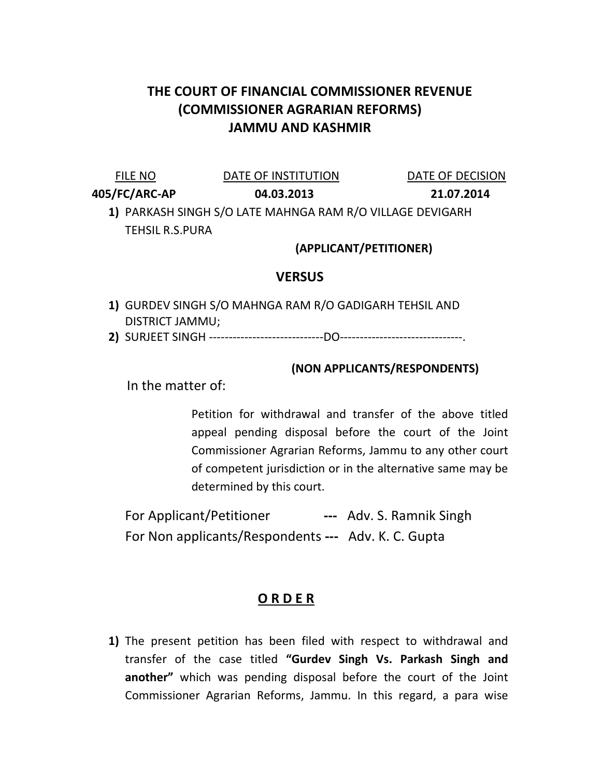## THE COURT OF FINANCIAL COMMISSIONER REVENUE (COMMISSIONER AGRARIAN REFORMS) JAMMU AND KASHMIR

FILE NO **DATE OF INSTITUTION** DATE OF DECISION

405/FC/ARC-AP 04.03.2013 21.07.2014

1) PARKASH SINGH S/O LATE MAHNGA RAM R/O VILLAGE DEVIGARH TEHSIL R.S.PURA

(APPLICANT/PETITIONER)

## **VERSUS**

- 1) GURDEV SINGH S/O MAHNGA RAM R/O GADIGARH TEHSIL AND DISTRICT JAMMU;
- 2) SURJEET SINGH -----------------------------DO-------------------------------.

## (NON APPLICANTS/RESPONDENTS)

In the matter of:

Petition for withdrawal and transfer of the above titled appeal pending disposal before the court of the Joint Commissioner Agrarian Reforms, Jammu to any other court of competent jurisdiction or in the alternative same may be determined by this court.

For Applicant/Petitioner --- Adv. S. Ramnik Singh For Non applicants/Respondents --- Adv. K. C. Gupta

## O R D E R

1) The present petition has been filed with respect to withdrawal and transfer of the case titled "Gurdev Singh Vs. Parkash Singh and another" which was pending disposal before the court of the Joint Commissioner Agrarian Reforms, Jammu. In this regard, a para wise